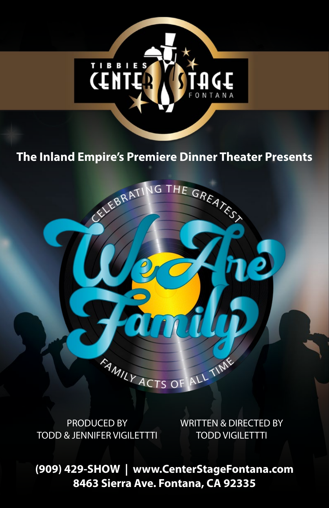

# **The Inland Empire's Premiere Dinner Theater Presents** NG THE GREATEST

EELEBRATI



WRITTEN & DIRECTED BY TODD VIGILETTTI

ALL TIME

**(909) 429-SHOW | www.CenterStageFontana.com 8463 Sierra Ave. Fontana, CA 92335**

FAMILY ACTS OF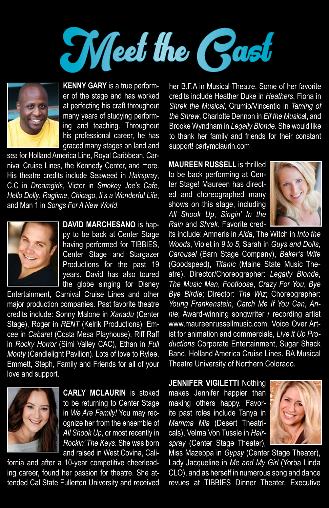



**KENNY GARY** is a true performer of the stage and has worked at perfecting his craft throughout many years of studying performing and teaching. Throughout his professional career, he has graced many stages on land and

sea for Holland America Line, Royal Caribbean, Carnival Cruise Lines, the Kennedy Center, and more. His theatre credits include Seaweed in *Hairspray*, C.C in *Dreamgirls*, Victor in *Smokey Joe's Cafe*, *Hello Dolly*, *Ragtime*, *Chicago*, *It's a Wonderful Life*, and Man 1 in *Songs For A New World*.



**DAVID MARCHESANO** is happy to be back at Center Stage having performed for TIBBIES, Center Stage and Stargazer Productions for the past 19 years. David has also toured the globe singing for Disney

Entertainment, Carnival Cruise Lines and other major production companies. Past favorite theatre credits include: Sonny Malone in *Xanadu* (Center Stage), Roger in *RENT* (Kelrik Productions), Emcee in *Cabaret* (Costa Mesa Playhouse), Riff Raff in *Rocky Horror* (Simi Valley CAC), Ethan in *Full Monty* (Candlelight Pavilion). Lots of love to Rylee, Emmett, Steph, Family and Friends for all of your love and support.



**CARLY MCLAURIN** is stoked to be returning to Center Stage in *We Are Family!* You may recognize her from the ensemble of *All Shook Up*, or most recently in *Rockin' The Keys*. She was born and raised in West Covina, Cali-

fornia and after a 10-year competitive cheerleading career, found her passion for theatre. She attended Cal State Fullerton University and received her B.F.A in Musical Theatre. Some of her favorite credits include Heather Duke in *Heathers*, Fiona in *Shrek the Musical*, Grumio/Vincentio in *Taming of the Shrew*, Charlotte Dennon in *Elf the Musica*l, and Brooke Wyndham in *Legally Blonde*. She would like to thank her family and friends for their constant support! carlymclaurin.com

**MAUREEN RUSSELL** is thrilled to be back performing at Center Stage! Maureen has directed and choreographed many shows on this stage, including *All Shook Up*, *Singin' In the Rain* and *Shrek*. Favorite cred-



its include: Amneris in *Aida*, The Witch in *Into the Woods*, Violet in *9 to 5*, Sarah in *Guys and Dolls*, *Carousel* (Barn Stage Company), *Baker's Wife* (Goodspeed), *Titanic* (Maine State Music Theatre). Director/Choreographer: *Legally Blonde*, *The Music Man*, *Footloose*, *Crazy For You*, *Bye Bye Birdie*; Director: *The Wiz*; Choreographer: *Young Frankenstein*, *Catch Me If You Can*, *Annie*; Award-winning songwriter / recording artist www.maureenrussellmusic.com, Voice Over Artist for animation and commercials, *Live it Up Productions* Corporate Entertainment, Sugar Shack Band, Holland America Cruise Lines. BA Musical Theatre University of Northern Colorado.

**JENNIFER VIGILETTI** Nothing makes Jennifer happier than making others happy. Favorite past roles include Tanya in *Mamma Mia* (Desert Theatricals), Velma Von Tussle in *Hairspray* (Center Stage Theater),



Miss Mazeppa in *Gypsy* (Center Stage Theater), Lady Jacqueline in *Me and My Girl* (Yorba Linda CLO), and as herself in numerous song and dance revues at TIBBIES Dinner Theater. Executive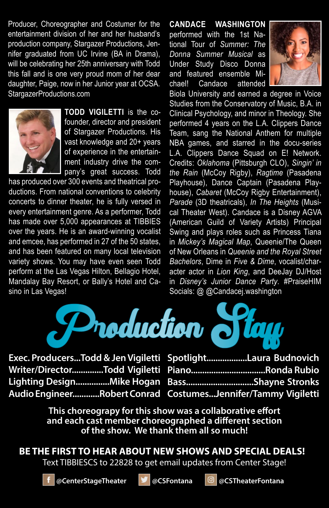Producer, Choreographer and Costumer for the entertainment division of her and her husband's production company, Stargazer Productions, Jennifer graduated from UC Irvine (BA in Drama), will be celebrating her 25th anniversary with Todd this fall and is one very proud mom of her dear daughter, Paige, now in her Junior year at OCSA. StargazerProductions.com



**TODD VIGILETTI** is the cofounder, director and president of Stargazer Productions. His vast knowledge and 20+ years of experience in the entertainment industry drive the company's great success. Todd

has produced over 300 events and theatrical productions. From national conventions to celebrity concerts to dinner theater, he is fully versed in every entertainment genre. As a performer, Todd has made over 5,000 appearances at TIBBIES over the years. He is an award-winning vocalist and emcee, has performed in 27 of the 50 states, and has been featured on many local television variety shows. You may have even seen Todd perform at the Las Vegas Hilton, Bellagio Hotel, Mandalay Bay Resort, or Bally's Hotel and Casino in Las Vegas!

**CANDACE WASHINGTON** performed with the 1st National Tour of *Summer: The Donna Summer Musical* as Under Study Disco Donna and featured ensemble Michael! Candace attended



Biola University and earned a degree in Voice Studies from the Conservatory of Music, B.A. in Clinical Psychology, and minor in Theology. She performed 4 years on the L.A. Clippers Dance Team, sang the National Anthem for multiple NBA games, and starred in the docu-series L.A. Clippers Dance Squad on E! Network. Credits: *Oklahoma* (Pittsburgh CLO), *Singin' in the Rain* (McCoy Rigby), *Ragtime* (Pasadena Playhouse), Dance Captain (Pasadena Playhouse), *Cabaret* (McCoy Rigby Entertainment), *Parade* (3D theatricals), *In The Heights* (Musical Theater West). Candace is a Disney AGVA (American Guild of Variety Artists) Principal Swing and plays roles such as Princess Tiana in *Mickey's Magical Map*, Queenie/The Queen of New Orleans in *Queenie and the Royal Street Bachelors*, Dime in *Five & Dime*, vocalist/character actor in *Lion King*, and DeeJay DJ/Host in *Disney's Junior Dance Party*. #PraiseHIM Socials: @ @Candacej.washington



| Exec. ProducersTodd & Jen Vigiletti SpotlightLaura Budnovich |
|--------------------------------------------------------------|
| Writer/DirectorTodd Vigiletti PianoRonda Rubio               |
| Lighting DesignMike Hogan BassShayne Stronks                 |
| Audio EngineerRobert Conrad CostumesJennifer/Tammy Vigiletti |

**This choreograpy for this show was a collaborative effort and each cast member choreographed a different section of the show. We thank them all so much!**

**BE THE FIRST TO HEAR ABOUT NEW SHOWS AND SPECIAL DEALS!**

Text TIBBIESCS to 22828 to get email updates from Center Stage!



**@CenterStageTheater @CSFontana @CSTheaterFontana**